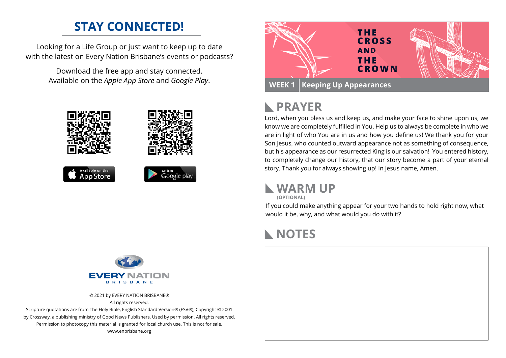## **STAY CONNECTED!**

Looking for a Life Group or just want to keep up to date with the latest on Every Nation Brisbane's events or podcasts?

> Download the free app and stay connected. Available on the *Apple App Store* and *Google Play*.





#### **PRAYER**  $\mathbb{R}$

Lord, when you bless us and keep us, and make your face to shine upon us, we know we are completely fulfilled in You. Help us to always be complete in who we are in light of who You are in us and how you define us! We thank you for your Son Jesus, who counted outward appearance not as something of consequence, but his appearance as our resurrected King is our salvation! You entered history, to completely change our history, that our story become a part of your eternal story. Thank you for always showing up! In Jesus name, Amen.

### **WARM UP**

**(OPTIONAL)**

If you could make anything appear for your two hands to hold right now, what would it be, why, and what would you do with it?

# **NOTES**





© 2021 by EVERY NATION BRISBANE® All rights reserved.

Scripture quotations are from The Holy Bible, English Standard Version® (ESV®), Copyright © 2001 by Crossway, a publishing ministry of Good News Publishers. Used by permission. All rights reserved. Permission to photocopy this material is granted for local church use. This is not for sale. www.enbrisbane.org